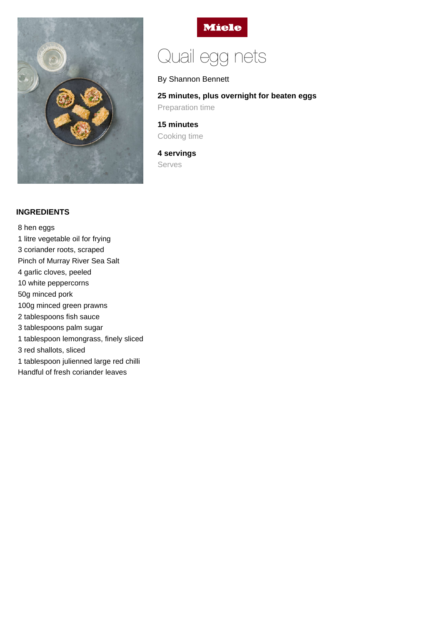



# Quail egg nets

### By Shannon Bennett

## **25 minutes, plus overnight for beaten eggs** Preparation time

**15 minutes** Cooking time

**4 servings** Serves

#### **INGREDIENTS**

8 hen eggs 1 litre vegetable oil for frying 3 coriander roots, scraped Pinch of Murray River Sea Salt 4 garlic cloves, peeled 10 white peppercorns 50g minced pork 100g minced green prawns 2 tablespoons fish sauce 3 tablespoons palm sugar 1 tablespoon lemongrass, finely sliced 3 red shallots, sliced 1 tablespoon julienned large red chilli Handful of fresh coriander leaves